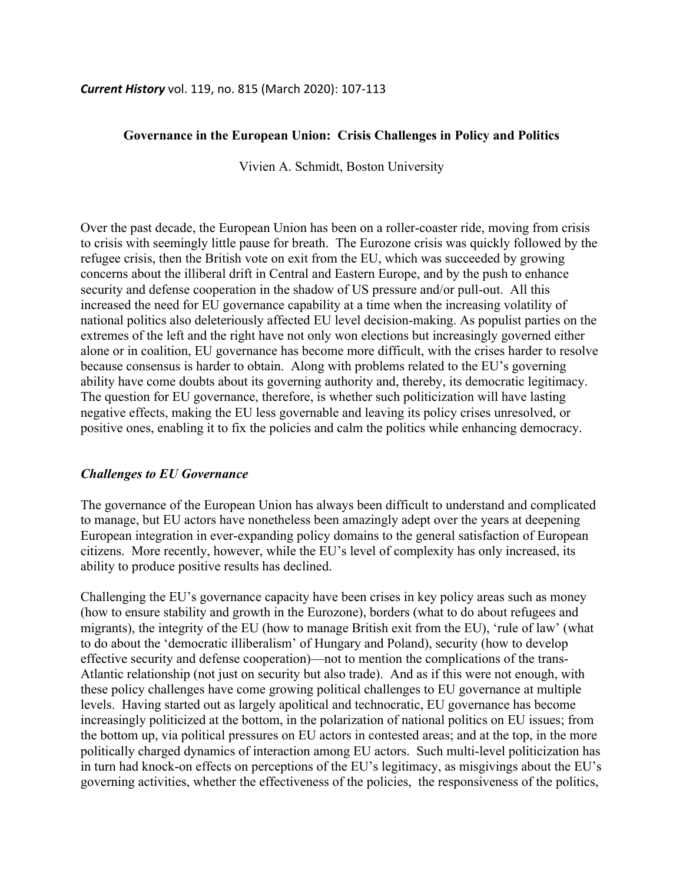### **Governance in the European Union: Crisis Challenges in Policy and Politics**

Vivien A. Schmidt, Boston University

Over the past decade, the European Union has been on a roller-coaster ride, moving from crisis to crisis with seemingly little pause for breath. The Eurozone crisis was quickly followed by the refugee crisis, then the British vote on exit from the EU, which was succeeded by growing concerns about the illiberal drift in Central and Eastern Europe, and by the push to enhance security and defense cooperation in the shadow of US pressure and/or pull-out. All this increased the need for EU governance capability at a time when the increasing volatility of national politics also deleteriously affected EU level decision-making. As populist parties on the extremes of the left and the right have not only won elections but increasingly governed either alone or in coalition, EU governance has become more difficult, with the crises harder to resolve because consensus is harder to obtain. Along with problems related to the EU's governing ability have come doubts about its governing authority and, thereby, its democratic legitimacy. The question for EU governance, therefore, is whether such politicization will have lasting negative effects, making the EU less governable and leaving its policy crises unresolved, or positive ones, enabling it to fix the policies and calm the politics while enhancing democracy.

#### *Challenges to EU Governance*

The governance of the European Union has always been difficult to understand and complicated to manage, but EU actors have nonetheless been amazingly adept over the years at deepening European integration in ever-expanding policy domains to the general satisfaction of European citizens. More recently, however, while the EU's level of complexity has only increased, its ability to produce positive results has declined.

Challenging the EU's governance capacity have been crises in key policy areas such as money (how to ensure stability and growth in the Eurozone), borders (what to do about refugees and migrants), the integrity of the EU (how to manage British exit from the EU), 'rule of law' (what to do about the 'democratic illiberalism' of Hungary and Poland), security (how to develop effective security and defense cooperation)—not to mention the complications of the trans-Atlantic relationship (not just on security but also trade). And as if this were not enough, with these policy challenges have come growing political challenges to EU governance at multiple levels. Having started out as largely apolitical and technocratic, EU governance has become increasingly politicized at the bottom, in the polarization of national politics on EU issues; from the bottom up, via political pressures on EU actors in contested areas; and at the top, in the more politically charged dynamics of interaction among EU actors. Such multi-level politicization has in turn had knock-on effects on perceptions of the EU's legitimacy, as misgivings about the EU's governing activities, whether the effectiveness of the policies, the responsiveness of the politics,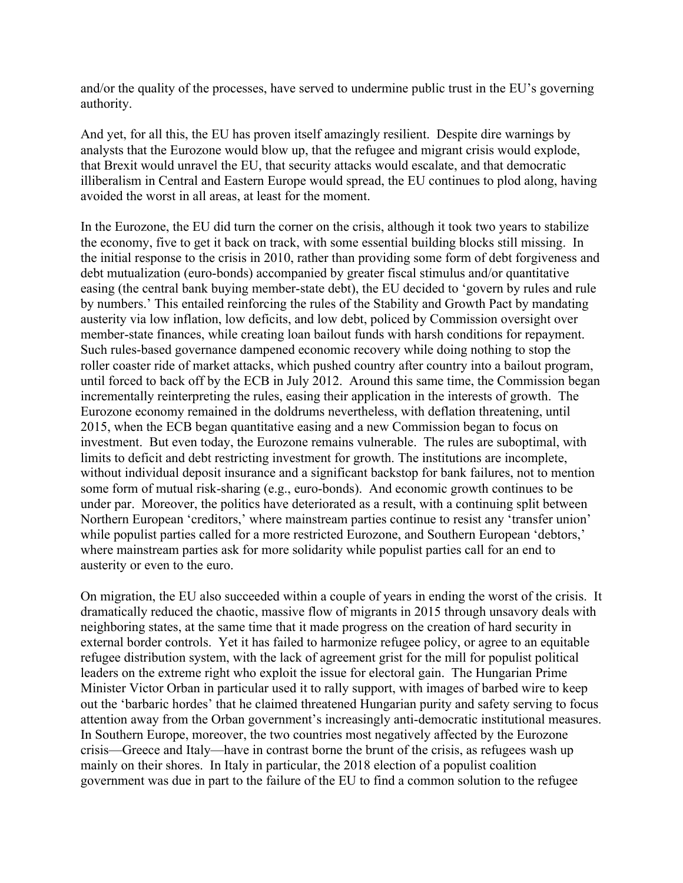and/or the quality of the processes, have served to undermine public trust in the EU's governing authority.

And yet, for all this, the EU has proven itself amazingly resilient. Despite dire warnings by analysts that the Eurozone would blow up, that the refugee and migrant crisis would explode, that Brexit would unravel the EU, that security attacks would escalate, and that democratic illiberalism in Central and Eastern Europe would spread, the EU continues to plod along, having avoided the worst in all areas, at least for the moment.

In the Eurozone, the EU did turn the corner on the crisis, although it took two years to stabilize the economy, five to get it back on track, with some essential building blocks still missing. In the initial response to the crisis in 2010, rather than providing some form of debt forgiveness and debt mutualization (euro-bonds) accompanied by greater fiscal stimulus and/or quantitative easing (the central bank buying member-state debt), the EU decided to 'govern by rules and rule by numbers.' This entailed reinforcing the rules of the Stability and Growth Pact by mandating austerity via low inflation, low deficits, and low debt, policed by Commission oversight over member-state finances, while creating loan bailout funds with harsh conditions for repayment. Such rules-based governance dampened economic recovery while doing nothing to stop the roller coaster ride of market attacks, which pushed country after country into a bailout program, until forced to back off by the ECB in July 2012. Around this same time, the Commission began incrementally reinterpreting the rules, easing their application in the interests of growth. The Eurozone economy remained in the doldrums nevertheless, with deflation threatening, until 2015, when the ECB began quantitative easing and a new Commission began to focus on investment. But even today, the Eurozone remains vulnerable. The rules are suboptimal, with limits to deficit and debt restricting investment for growth. The institutions are incomplete, without individual deposit insurance and a significant backstop for bank failures, not to mention some form of mutual risk-sharing (e.g., euro-bonds). And economic growth continues to be under par. Moreover, the politics have deteriorated as a result, with a continuing split between Northern European 'creditors,' where mainstream parties continue to resist any 'transfer union' while populist parties called for a more restricted Eurozone, and Southern European 'debtors,' where mainstream parties ask for more solidarity while populist parties call for an end to austerity or even to the euro.

On migration, the EU also succeeded within a couple of years in ending the worst of the crisis. It dramatically reduced the chaotic, massive flow of migrants in 2015 through unsavory deals with neighboring states, at the same time that it made progress on the creation of hard security in external border controls. Yet it has failed to harmonize refugee policy, or agree to an equitable refugee distribution system, with the lack of agreement grist for the mill for populist political leaders on the extreme right who exploit the issue for electoral gain. The Hungarian Prime Minister Victor Orban in particular used it to rally support, with images of barbed wire to keep out the 'barbaric hordes' that he claimed threatened Hungarian purity and safety serving to focus attention away from the Orban government's increasingly anti-democratic institutional measures. In Southern Europe, moreover, the two countries most negatively affected by the Eurozone crisis—Greece and Italy—have in contrast borne the brunt of the crisis, as refugees wash up mainly on their shores. In Italy in particular, the 2018 election of a populist coalition government was due in part to the failure of the EU to find a common solution to the refugee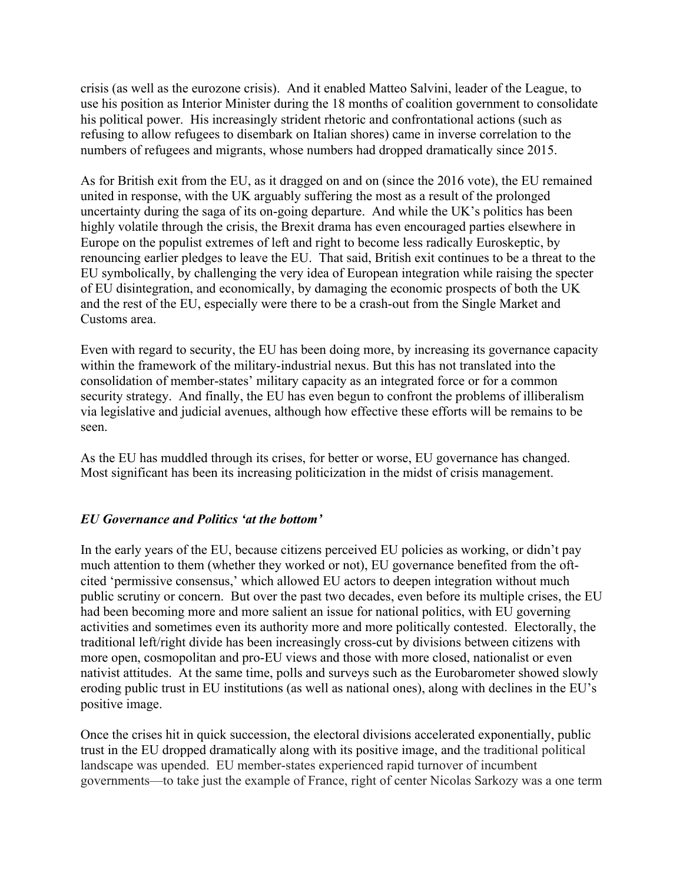crisis (as well as the eurozone crisis). And it enabled Matteo Salvini, leader of the League, to use his position as Interior Minister during the 18 months of coalition government to consolidate his political power. His increasingly strident rhetoric and confrontational actions (such as refusing to allow refugees to disembark on Italian shores) came in inverse correlation to the numbers of refugees and migrants, whose numbers had dropped dramatically since 2015.

As for British exit from the EU, as it dragged on and on (since the 2016 vote), the EU remained united in response, with the UK arguably suffering the most as a result of the prolonged uncertainty during the saga of its on-going departure. And while the UK's politics has been highly volatile through the crisis, the Brexit drama has even encouraged parties elsewhere in Europe on the populist extremes of left and right to become less radically Euroskeptic, by renouncing earlier pledges to leave the EU. That said, British exit continues to be a threat to the EU symbolically, by challenging the very idea of European integration while raising the specter of EU disintegration, and economically, by damaging the economic prospects of both the UK and the rest of the EU, especially were there to be a crash-out from the Single Market and Customs area.

Even with regard to security, the EU has been doing more, by increasing its governance capacity within the framework of the military-industrial nexus. But this has not translated into the consolidation of member-states' military capacity as an integrated force or for a common security strategy. And finally, the EU has even begun to confront the problems of illiberalism via legislative and judicial avenues, although how effective these efforts will be remains to be seen.

As the EU has muddled through its crises, for better or worse, EU governance has changed. Most significant has been its increasing politicization in the midst of crisis management.

# *EU Governance and Politics 'at the bottom'*

In the early years of the EU, because citizens perceived EU policies as working, or didn't pay much attention to them (whether they worked or not), EU governance benefited from the oftcited 'permissive consensus,' which allowed EU actors to deepen integration without much public scrutiny or concern. But over the past two decades, even before its multiple crises, the EU had been becoming more and more salient an issue for national politics, with EU governing activities and sometimes even its authority more and more politically contested. Electorally, the traditional left/right divide has been increasingly cross-cut by divisions between citizens with more open, cosmopolitan and pro-EU views and those with more closed, nationalist or even nativist attitudes. At the same time, polls and surveys such as the Eurobarometer showed slowly eroding public trust in EU institutions (as well as national ones), along with declines in the EU's positive image.

Once the crises hit in quick succession, the electoral divisions accelerated exponentially, public trust in the EU dropped dramatically along with its positive image, and the traditional political landscape was upended. EU member-states experienced rapid turnover of incumbent governments—to take just the example of France, right of center Nicolas Sarkozy was a one term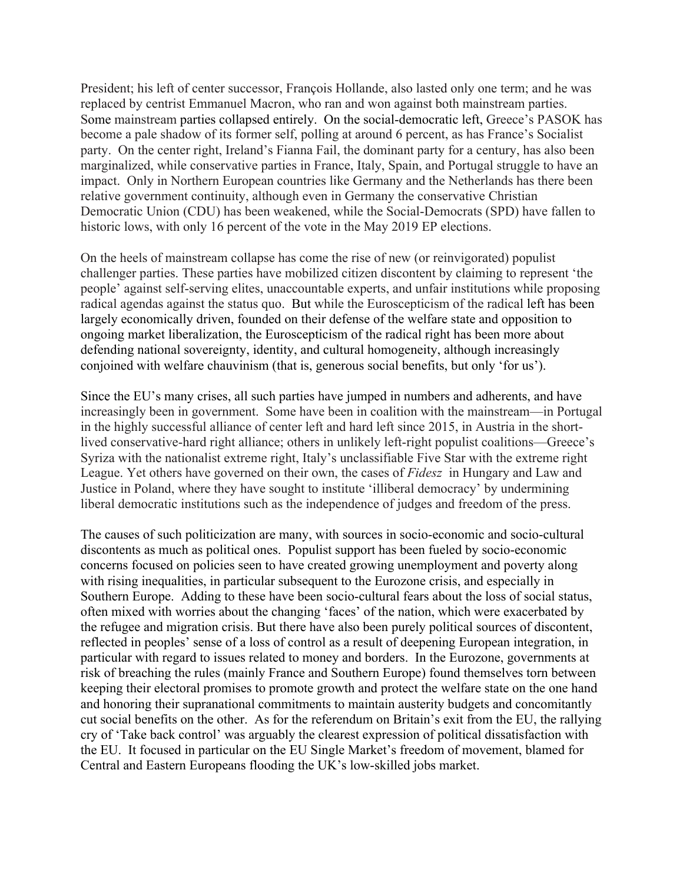President; his left of center successor, François Hollande, also lasted only one term; and he was replaced by centrist Emmanuel Macron, who ran and won against both mainstream parties. Some mainstream parties collapsed entirely. On the social-democratic left, Greece's PASOK has become a pale shadow of its former self, polling at around 6 percent, as has France's Socialist party. On the center right, Ireland's Fianna Fail, the dominant party for a century, has also been marginalized, while conservative parties in France, Italy, Spain, and Portugal struggle to have an impact. Only in Northern European countries like Germany and the Netherlands has there been relative government continuity, although even in Germany the conservative Christian Democratic Union (CDU) has been weakened, while the Social-Democrats (SPD) have fallen to historic lows, with only 16 percent of the vote in the May 2019 EP elections.

On the heels of mainstream collapse has come the rise of new (or reinvigorated) populist challenger parties. These parties have mobilized citizen discontent by claiming to represent 'the people' against self-serving elites, unaccountable experts, and unfair institutions while proposing radical agendas against the status quo. But while the Euroscepticism of the radical left has been largely economically driven, founded on their defense of the welfare state and opposition to ongoing market liberalization, the Euroscepticism of the radical right has been more about defending national sovereignty, identity, and cultural homogeneity, although increasingly conjoined with welfare chauvinism (that is, generous social benefits, but only 'for us').

Since the EU's many crises, all such parties have jumped in numbers and adherents, and have increasingly been in government. Some have been in coalition with the mainstream—in Portugal in the highly successful alliance of center left and hard left since 2015, in Austria in the shortlived conservative-hard right alliance; others in unlikely left-right populist coalitions—Greece's Syriza with the nationalist extreme right, Italy's unclassifiable Five Star with the extreme right League. Yet others have governed on their own, the cases of *Fidesz* in Hungary and Law and Justice in Poland, where they have sought to institute 'illiberal democracy' by undermining liberal democratic institutions such as the independence of judges and freedom of the press.

The causes of such politicization are many, with sources in socio-economic and socio-cultural discontents as much as political ones. Populist support has been fueled by socio-economic concerns focused on policies seen to have created growing unemployment and poverty along with rising inequalities, in particular subsequent to the Eurozone crisis, and especially in Southern Europe. Adding to these have been socio-cultural fears about the loss of social status, often mixed with worries about the changing 'faces' of the nation, which were exacerbated by the refugee and migration crisis. But there have also been purely political sources of discontent, reflected in peoples' sense of a loss of control as a result of deepening European integration, in particular with regard to issues related to money and borders. In the Eurozone, governments at risk of breaching the rules (mainly France and Southern Europe) found themselves torn between keeping their electoral promises to promote growth and protect the welfare state on the one hand and honoring their supranational commitments to maintain austerity budgets and concomitantly cut social benefits on the other. As for the referendum on Britain's exit from the EU, the rallying cry of 'Take back control' was arguably the clearest expression of political dissatisfaction with the EU. It focused in particular on the EU Single Market's freedom of movement, blamed for Central and Eastern Europeans flooding the UK's low-skilled jobs market.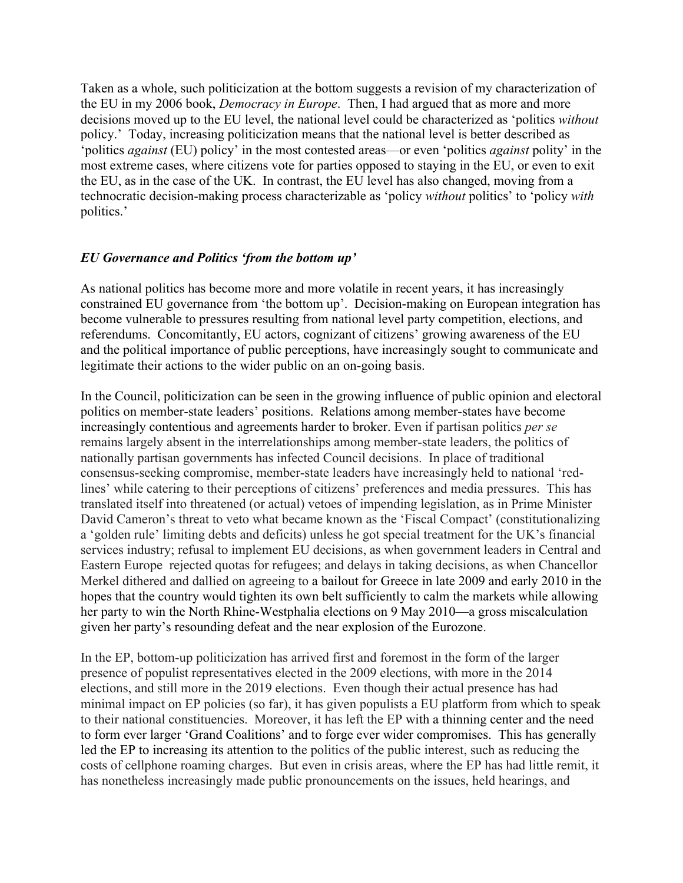Taken as a whole, such politicization at the bottom suggests a revision of my characterization of the EU in my 2006 book, *Democracy in Europe*. Then, I had argued that as more and more decisions moved up to the EU level, the national level could be characterized as 'politics *without* policy.' Today, increasing politicization means that the national level is better described as 'politics *against* (EU) policy' in the most contested areas—or even 'politics *against* polity' in the most extreme cases, where citizens vote for parties opposed to staying in the EU, or even to exit the EU, as in the case of the UK. In contrast, the EU level has also changed, moving from a technocratic decision-making process characterizable as 'policy *without* politics' to 'policy *with* politics.'

## *EU Governance and Politics 'from the bottom up'*

As national politics has become more and more volatile in recent years, it has increasingly constrained EU governance from 'the bottom up'. Decision-making on European integration has become vulnerable to pressures resulting from national level party competition, elections, and referendums. Concomitantly, EU actors, cognizant of citizens' growing awareness of the EU and the political importance of public perceptions, have increasingly sought to communicate and legitimate their actions to the wider public on an on-going basis.

In the Council, politicization can be seen in the growing influence of public opinion and electoral politics on member-state leaders' positions. Relations among member-states have become increasingly contentious and agreements harder to broker. Even if partisan politics *per se* remains largely absent in the interrelationships among member-state leaders, the politics of nationally partisan governments has infected Council decisions. In place of traditional consensus-seeking compromise, member-state leaders have increasingly held to national 'redlines' while catering to their perceptions of citizens' preferences and media pressures. This has translated itself into threatened (or actual) vetoes of impending legislation, as in Prime Minister David Cameron's threat to veto what became known as the 'Fiscal Compact' (constitutionalizing a 'golden rule' limiting debts and deficits) unless he got special treatment for the UK's financial services industry; refusal to implement EU decisions, as when government leaders in Central and Eastern Europe rejected quotas for refugees; and delays in taking decisions, as when Chancellor Merkel dithered and dallied on agreeing to a bailout for Greece in late 2009 and early 2010 in the hopes that the country would tighten its own belt sufficiently to calm the markets while allowing her party to win the North Rhine-Westphalia elections on 9 May 2010—a gross miscalculation given her party's resounding defeat and the near explosion of the Eurozone.

In the EP, bottom-up politicization has arrived first and foremost in the form of the larger presence of populist representatives elected in the 2009 elections, with more in the 2014 elections, and still more in the 2019 elections. Even though their actual presence has had minimal impact on EP policies (so far), it has given populists a EU platform from which to speak to their national constituencies. Moreover, it has left the EP with a thinning center and the need to form ever larger 'Grand Coalitions' and to forge ever wider compromises. This has generally led the EP to increasing its attention to the politics of the public interest, such as reducing the costs of cellphone roaming charges. But even in crisis areas, where the EP has had little remit, it has nonetheless increasingly made public pronouncements on the issues, held hearings, and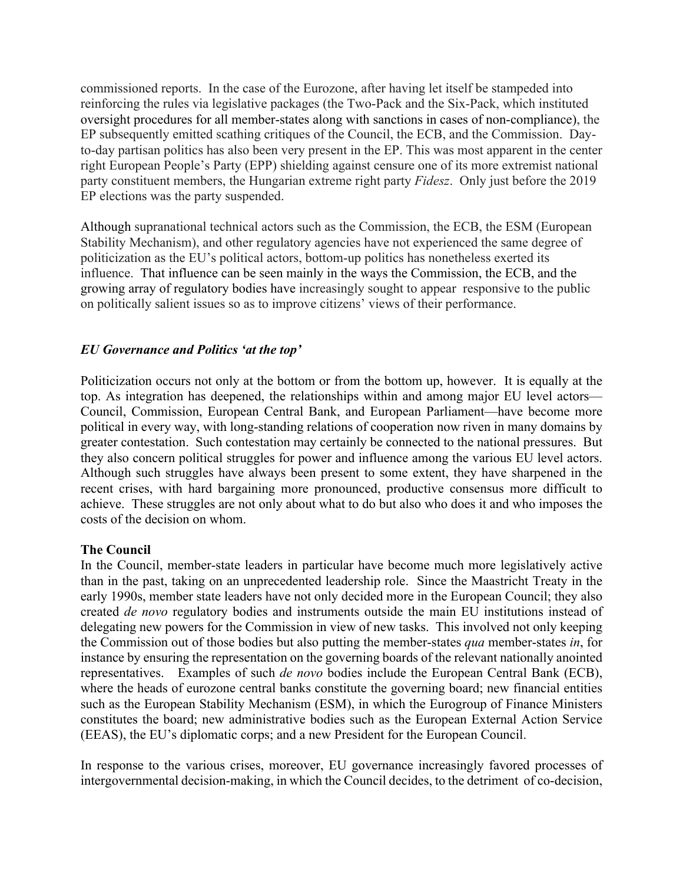commissioned reports. In the case of the Eurozone, after having let itself be stampeded into reinforcing the rules via legislative packages (the Two-Pack and the Six-Pack, which instituted oversight procedures for all member-states along with sanctions in cases of non-compliance), the EP subsequently emitted scathing critiques of the Council, the ECB, and the Commission. Dayto-day partisan politics has also been very present in the EP. This was most apparent in the center right European People's Party (EPP) shielding against censure one of its more extremist national party constituent members, the Hungarian extreme right party *Fidesz*. Only just before the 2019 EP elections was the party suspended.

Although supranational technical actors such as the Commission, the ECB, the ESM (European Stability Mechanism), and other regulatory agencies have not experienced the same degree of politicization as the EU's political actors, bottom-up politics has nonetheless exerted its influence. That influence can be seen mainly in the ways the Commission, the ECB, and the growing array of regulatory bodies have increasingly sought to appear responsive to the public on politically salient issues so as to improve citizens' views of their performance.

# *EU Governance and Politics 'at the top'*

Politicization occurs not only at the bottom or from the bottom up, however. It is equally at the top. As integration has deepened, the relationships within and among major EU level actors— Council, Commission, European Central Bank, and European Parliament—have become more political in every way, with long-standing relations of cooperation now riven in many domains by greater contestation. Such contestation may certainly be connected to the national pressures. But they also concern political struggles for power and influence among the various EU level actors. Although such struggles have always been present to some extent, they have sharpened in the recent crises, with hard bargaining more pronounced, productive consensus more difficult to achieve. These struggles are not only about what to do but also who does it and who imposes the costs of the decision on whom.

## **The Council**

In the Council, member-state leaders in particular have become much more legislatively active than in the past, taking on an unprecedented leadership role. Since the Maastricht Treaty in the early 1990s, member state leaders have not only decided more in the European Council; they also created *de novo* regulatory bodies and instruments outside the main EU institutions instead of delegating new powers for the Commission in view of new tasks. This involved not only keeping the Commission out of those bodies but also putting the member-states *qua* member-states *in*, for instance by ensuring the representation on the governing boards of the relevant nationally anointed representatives. Examples of such *de novo* bodies include the European Central Bank (ECB), where the heads of eurozone central banks constitute the governing board; new financial entities such as the European Stability Mechanism (ESM), in which the Eurogroup of Finance Ministers constitutes the board; new administrative bodies such as the European External Action Service (EEAS), the EU's diplomatic corps; and a new President for the European Council.

In response to the various crises, moreover, EU governance increasingly favored processes of intergovernmental decision-making, in which the Council decides, to the detriment of co-decision,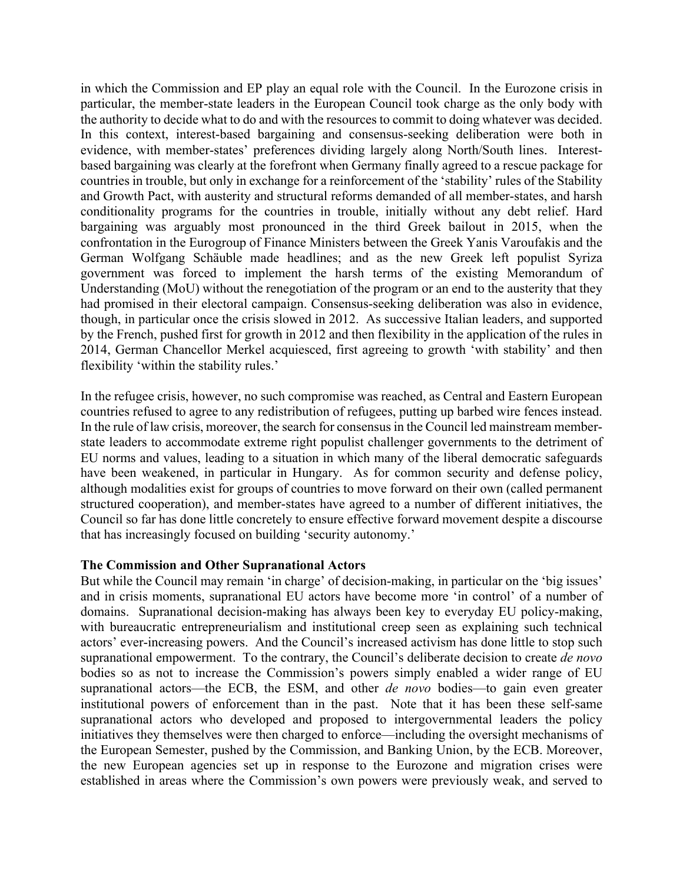in which the Commission and EP play an equal role with the Council. In the Eurozone crisis in particular, the member-state leaders in the European Council took charge as the only body with the authority to decide what to do and with the resources to commit to doing whatever was decided. In this context, interest-based bargaining and consensus-seeking deliberation were both in evidence, with member-states' preferences dividing largely along North/South lines. Interestbased bargaining was clearly at the forefront when Germany finally agreed to a rescue package for countries in trouble, but only in exchange for a reinforcement of the 'stability' rules of the Stability and Growth Pact, with austerity and structural reforms demanded of all member-states, and harsh conditionality programs for the countries in trouble, initially without any debt relief. Hard bargaining was arguably most pronounced in the third Greek bailout in 2015, when the confrontation in the Eurogroup of Finance Ministers between the Greek Yanis Varoufakis and the German Wolfgang Schäuble made headlines; and as the new Greek left populist Syriza government was forced to implement the harsh terms of the existing Memorandum of Understanding (MoU) without the renegotiation of the program or an end to the austerity that they had promised in their electoral campaign. Consensus-seeking deliberation was also in evidence, though, in particular once the crisis slowed in 2012. As successive Italian leaders, and supported by the French, pushed first for growth in 2012 and then flexibility in the application of the rules in 2014, German Chancellor Merkel acquiesced, first agreeing to growth 'with stability' and then flexibility 'within the stability rules.'

In the refugee crisis, however, no such compromise was reached, as Central and Eastern European countries refused to agree to any redistribution of refugees, putting up barbed wire fences instead. In the rule of law crisis, moreover, the search for consensus in the Council led mainstream memberstate leaders to accommodate extreme right populist challenger governments to the detriment of EU norms and values, leading to a situation in which many of the liberal democratic safeguards have been weakened, in particular in Hungary. As for common security and defense policy, although modalities exist for groups of countries to move forward on their own (called permanent structured cooperation), and member-states have agreed to a number of different initiatives, the Council so far has done little concretely to ensure effective forward movement despite a discourse that has increasingly focused on building 'security autonomy.'

## **The Commission and Other Supranational Actors**

But while the Council may remain 'in charge' of decision-making, in particular on the 'big issues' and in crisis moments, supranational EU actors have become more 'in control' of a number of domains. Supranational decision-making has always been key to everyday EU policy-making, with bureaucratic entrepreneurialism and institutional creep seen as explaining such technical actors' ever-increasing powers. And the Council's increased activism has done little to stop such supranational empowerment. To the contrary, the Council's deliberate decision to create *de novo* bodies so as not to increase the Commission's powers simply enabled a wider range of EU supranational actors—the ECB, the ESM, and other *de novo* bodies—to gain even greater institutional powers of enforcement than in the past. Note that it has been these self-same supranational actors who developed and proposed to intergovernmental leaders the policy initiatives they themselves were then charged to enforce—including the oversight mechanisms of the European Semester, pushed by the Commission, and Banking Union, by the ECB. Moreover, the new European agencies set up in response to the Eurozone and migration crises were established in areas where the Commission's own powers were previously weak, and served to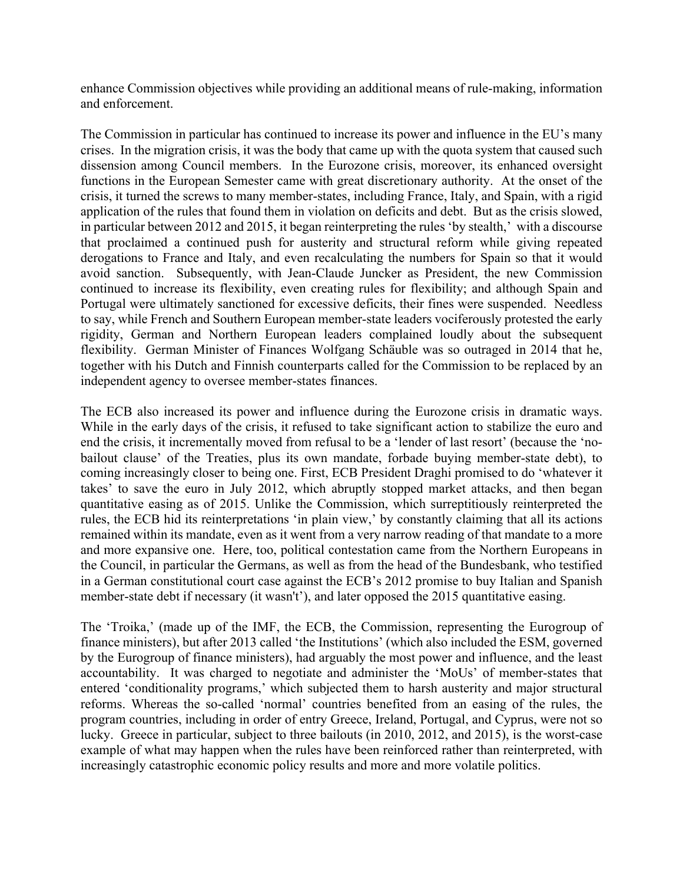enhance Commission objectives while providing an additional means of rule-making, information and enforcement.

The Commission in particular has continued to increase its power and influence in the EU's many crises. In the migration crisis, it was the body that came up with the quota system that caused such dissension among Council members. In the Eurozone crisis, moreover, its enhanced oversight functions in the European Semester came with great discretionary authority. At the onset of the crisis, it turned the screws to many member-states, including France, Italy, and Spain, with a rigid application of the rules that found them in violation on deficits and debt. But as the crisis slowed, in particular between 2012 and 2015, it began reinterpreting the rules 'by stealth,' with a discourse that proclaimed a continued push for austerity and structural reform while giving repeated derogations to France and Italy, and even recalculating the numbers for Spain so that it would avoid sanction. Subsequently, with Jean-Claude Juncker as President, the new Commission continued to increase its flexibility, even creating rules for flexibility; and although Spain and Portugal were ultimately sanctioned for excessive deficits, their fines were suspended. Needless to say, while French and Southern European member-state leaders vociferously protested the early rigidity, German and Northern European leaders complained loudly about the subsequent flexibility. German Minister of Finances Wolfgang Schäuble was so outraged in 2014 that he, together with his Dutch and Finnish counterparts called for the Commission to be replaced by an independent agency to oversee member-states finances.

The ECB also increased its power and influence during the Eurozone crisis in dramatic ways. While in the early days of the crisis, it refused to take significant action to stabilize the euro and end the crisis, it incrementally moved from refusal to be a 'lender of last resort' (because the 'nobailout clause' of the Treaties, plus its own mandate, forbade buying member-state debt), to coming increasingly closer to being one. First, ECB President Draghi promised to do 'whatever it takes' to save the euro in July 2012, which abruptly stopped market attacks, and then began quantitative easing as of 2015. Unlike the Commission, which surreptitiously reinterpreted the rules, the ECB hid its reinterpretations 'in plain view,' by constantly claiming that all its actions remained within its mandate, even as it went from a very narrow reading of that mandate to a more and more expansive one. Here, too, political contestation came from the Northern Europeans in the Council, in particular the Germans, as well as from the head of the Bundesbank, who testified in a German constitutional court case against the ECB's 2012 promise to buy Italian and Spanish member-state debt if necessary (it wasn't'), and later opposed the 2015 quantitative easing.

The 'Troika,' (made up of the IMF, the ECB, the Commission, representing the Eurogroup of finance ministers), but after 2013 called 'the Institutions' (which also included the ESM, governed by the Eurogroup of finance ministers), had arguably the most power and influence, and the least accountability. It was charged to negotiate and administer the 'MoUs' of member-states that entered 'conditionality programs,' which subjected them to harsh austerity and major structural reforms. Whereas the so-called 'normal' countries benefited from an easing of the rules, the program countries, including in order of entry Greece, Ireland, Portugal, and Cyprus, were not so lucky. Greece in particular, subject to three bailouts (in 2010, 2012, and 2015), is the worst-case example of what may happen when the rules have been reinforced rather than reinterpreted, with increasingly catastrophic economic policy results and more and more volatile politics.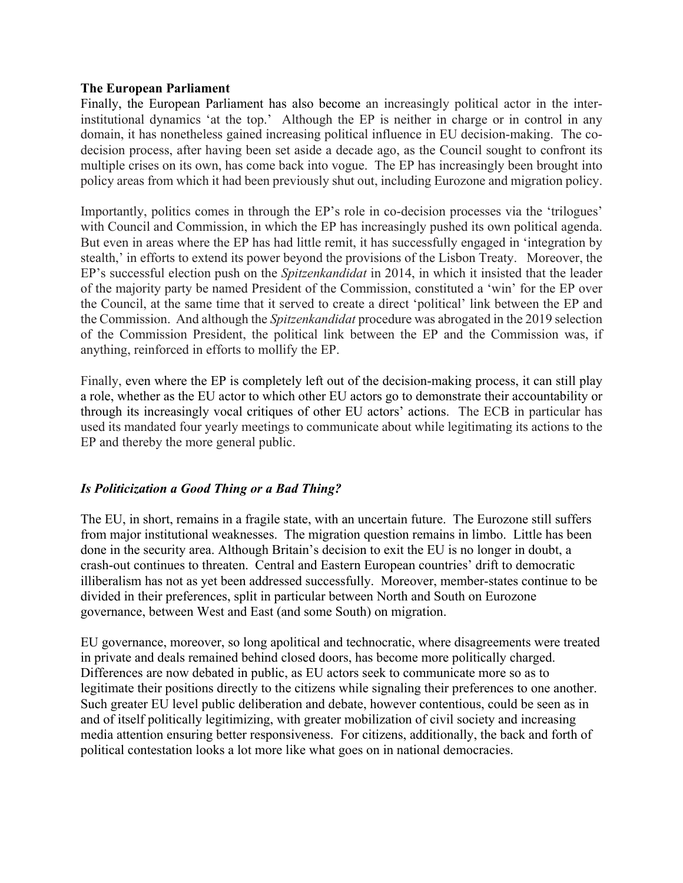## **The European Parliament**

Finally, the European Parliament has also become an increasingly political actor in the interinstitutional dynamics 'at the top.' Although the EP is neither in charge or in control in any domain, it has nonetheless gained increasing political influence in EU decision-making. The codecision process, after having been set aside a decade ago, as the Council sought to confront its multiple crises on its own, has come back into vogue. The EP has increasingly been brought into policy areas from which it had been previously shut out, including Eurozone and migration policy.

Importantly, politics comes in through the EP's role in co-decision processes via the 'trilogues' with Council and Commission, in which the EP has increasingly pushed its own political agenda. But even in areas where the EP has had little remit, it has successfully engaged in 'integration by stealth,' in efforts to extend its power beyond the provisions of the Lisbon Treaty. Moreover, the EP's successful election push on the *Spitzenkandidat* in 2014, in which it insisted that the leader of the majority party be named President of the Commission, constituted a 'win' for the EP over the Council, at the same time that it served to create a direct 'political' link between the EP and the Commission. And although the *Spitzenkandidat* procedure was abrogated in the 2019 selection of the Commission President, the political link between the EP and the Commission was, if anything, reinforced in efforts to mollify the EP.

Finally, even where the EP is completely left out of the decision-making process, it can still play a role, whether as the EU actor to which other EU actors go to demonstrate their accountability or through its increasingly vocal critiques of other EU actors' actions. The ECB in particular has used its mandated four yearly meetings to communicate about while legitimating its actions to the EP and thereby the more general public.

## *Is Politicization a Good Thing or a Bad Thing?*

The EU, in short, remains in a fragile state, with an uncertain future. The Eurozone still suffers from major institutional weaknesses. The migration question remains in limbo. Little has been done in the security area. Although Britain's decision to exit the EU is no longer in doubt, a crash-out continues to threaten. Central and Eastern European countries' drift to democratic illiberalism has not as yet been addressed successfully. Moreover, member-states continue to be divided in their preferences, split in particular between North and South on Eurozone governance, between West and East (and some South) on migration.

EU governance, moreover, so long apolitical and technocratic, where disagreements were treated in private and deals remained behind closed doors, has become more politically charged. Differences are now debated in public, as EU actors seek to communicate more so as to legitimate their positions directly to the citizens while signaling their preferences to one another. Such greater EU level public deliberation and debate, however contentious, could be seen as in and of itself politically legitimizing, with greater mobilization of civil society and increasing media attention ensuring better responsiveness. For citizens, additionally, the back and forth of political contestation looks a lot more like what goes on in national democracies.